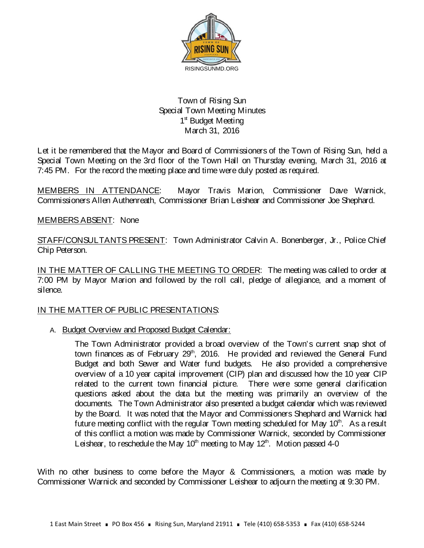

## Town of Rising Sun Special Town Meeting Minutes 1<sup>st</sup> Budget Meeting March 31, 2016

Let it be remembered that the Mayor and Board of Commissioners of the Town of Rising Sun, held a Special Town Meeting on the 3rd floor of the Town Hall on Thursday evening, March 31, 2016 at 7:45 PM. For the record the meeting place and time were duly posted as required.

MEMBERS IN ATTENDANCE: Mayor Travis Marion, Commissioner Dave Warnick, Commissioners Allen Authenreath, Commissioner Brian Leishear and Commissioner Joe Shephard.

## MEMBERS ABSENT: None

STAFF/CONSULTANTS PRESENT: Town Administrator Calvin A. Bonenberger, Jr., Police Chief Chip Peterson.

IN THE MATTER OF CALLING THE MEETING TO ORDER: The meeting was called to order at 7:00 PM by Mayor Marion and followed by the roll call, pledge of allegiance, and a moment of silence.

## IN THE MATTER OF PUBLIC PRESENTATIONS:

A. Budget Overview and Proposed Budget Calendar:

The Town Administrator provided a broad overview of the Town's current snap shot of town finances as of February 29<sup>th</sup>, 2016. He provided and reviewed the General Fund Budget and both Sewer and Water fund budgets. He also provided a comprehensive overview of a 10 year capital improvement (CIP) plan and discussed how the 10 year CIP related to the current town financial picture. There were some general clarification questions asked about the data but the meeting was primarily an overview of the documents. The Town Administrator also presented a budget calendar which was reviewed by the Board. It was noted that the Mayor and Commissioners Shephard and Warnick had future meeting conflict with the regular Town meeting scheduled for May  $10<sup>th</sup>$ . As a result of this conflict a motion was made by Commissioner Warnick, seconded by Commissioner Leishear, to reschedule the May  $10<sup>th</sup>$  meeting to May  $12<sup>th</sup>$ . Motion passed 4-0

With no other business to come before the Mayor & Commissioners, a motion was made by Commissioner Warnick and seconded by Commissioner Leishear to adjourn the meeting at 9:30 PM.